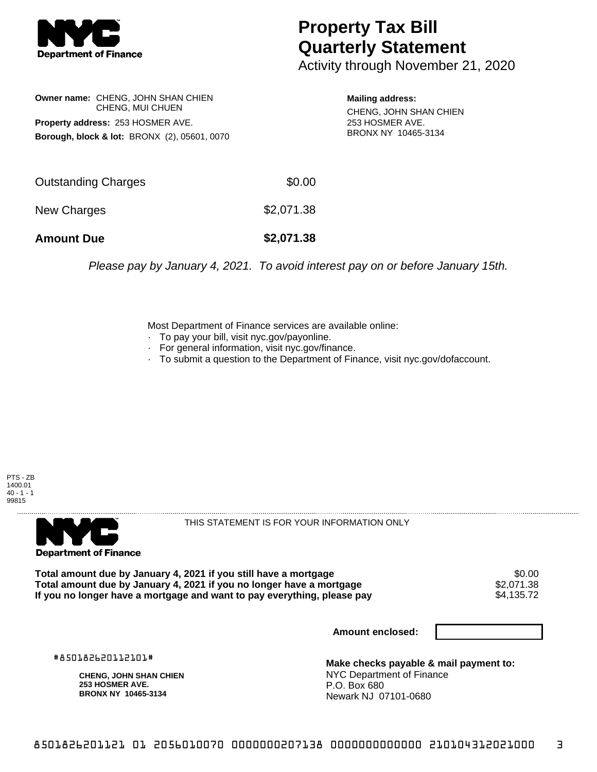

## **Property Tax Bill Quarterly Statement**

Activity through November 21, 2020

**Owner name:** CHENG, JOHN SHAN CHIEN CHENG, MUI CHUEN **Property address:** 253 HOSMER AVE. **Borough, block & lot:** BRONX (2), 05601, 0070

**Mailing address:** CHENG, JOHN SHAN CHIEN 253 HOSMER AVE. BRONX NY 10465-3134

| <b>Amount Due</b>   | \$2,071.38 |
|---------------------|------------|
| New Charges         | \$2,071.38 |
| Outstanding Charges | \$0.00     |

Please pay by January 4, 2021. To avoid interest pay on or before January 15th.

Most Department of Finance services are available online:

- · To pay your bill, visit nyc.gov/payonline.
- For general information, visit nyc.gov/finance.
- · To submit a question to the Department of Finance, visit nyc.gov/dofaccount.

PTS - ZB 1400.01  $40 - 1 - 1$ 99815



THIS STATEMENT IS FOR YOUR INFORMATION ONLY

Total amount due by January 4, 2021 if you still have a mortgage  $$0.00$ <br>Total amount due by January 4, 2021 if you no longer have a mortgage  $$2,071.38$ **Total amount due by January 4, 2021 if you no longer have a mortgage**  $$2,071.38$ **<br>If you no longer have a mortgage and want to pay everything, please pay <b>show that the summan state** that the se If you no longer have a mortgage and want to pay everything, please pay

**Amount enclosed:**

#850182620112101#

**CHENG, JOHN SHAN CHIEN 253 HOSMER AVE. BRONX NY 10465-3134**

**Make checks payable & mail payment to:** NYC Department of Finance P.O. Box 680 Newark NJ 07101-0680